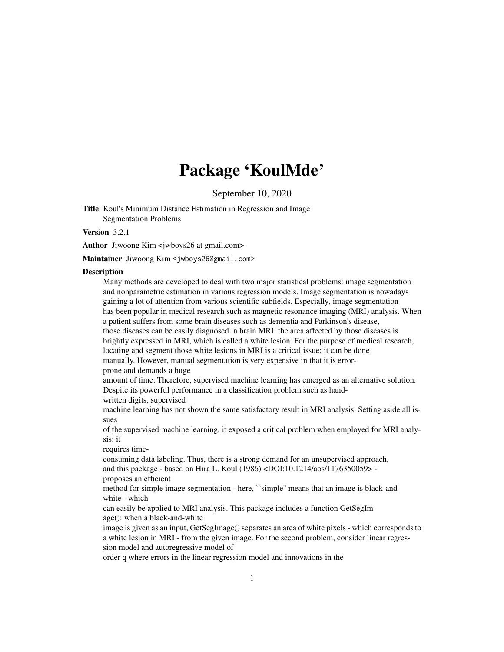## Package 'KoulMde'

September 10, 2020

Title Koul's Minimum Distance Estimation in Regression and Image Segmentation Problems

Version 3.2.1

Author Jiwoong Kim <*jwboys26* at gmail.com>

Maintainer Jiwoong Kim <jwboys26@gmail.com>

#### **Description**

Many methods are developed to deal with two major statistical problems: image segmentation and nonparametric estimation in various regression models. Image segmentation is nowadays gaining a lot of attention from various scientific subfields. Especially, image segmentation has been popular in medical research such as magnetic resonance imaging (MRI) analysis. When a patient suffers from some brain diseases such as dementia and Parkinson's disease, those diseases can be easily diagnosed in brain MRI: the area affected by those diseases is brightly expressed in MRI, which is called a white lesion. For the purpose of medical research, locating and segment those white lesions in MRI is a critical issue; it can be done manually. However, manual segmentation is very expensive in that it is errorprone and demands a huge amount of time. Therefore, supervised machine learning has emerged as an alternative solution. Despite its powerful performance in a classification problem such as handwritten digits, supervised machine learning has not shown the same satisfactory result in MRI analysis. Setting aside all issues of the supervised machine learning, it exposed a critical problem when employed for MRI analysis: it requires timeconsuming data labeling. Thus, there is a strong demand for an unsupervised approach, and this package - based on Hira L. Koul (1986) <DOI:10.1214/aos/1176350059> proposes an efficient method for simple image segmentation - here, ``simple'' means that an image is black-andwhite - which can easily be applied to MRI analysis. This package includes a function GetSegImage(): when a black-and-white image is given as an input, GetSegImage() separates an area of white pixels - which corresponds to a white lesion in MRI - from the given image. For the second problem, consider linear regression model and autoregressive model of

order q where errors in the linear regression model and innovations in the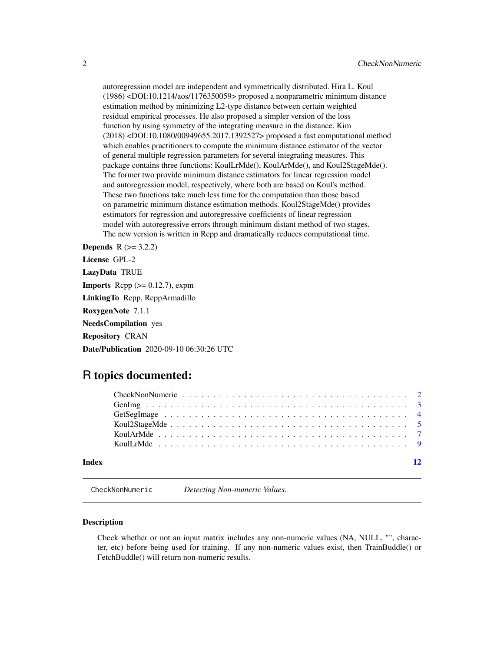<span id="page-1-0"></span>autoregression model are independent and symmetrically distributed. Hira L. Koul (1986) <DOI:10.1214/aos/1176350059> proposed a nonparametric minimum distance estimation method by minimizing L2-type distance between certain weighted residual empirical processes. He also proposed a simpler version of the loss function by using symmetry of the integrating measure in the distance. Kim (2018) <DOI:10.1080/00949655.2017.1392527> proposed a fast computational method which enables practitioners to compute the minimum distance estimator of the vector of general multiple regression parameters for several integrating measures. This package contains three functions: KoulLrMde(), KoulArMde(), and Koul2StageMde(). The former two provide minimum distance estimators for linear regression model and autoregression model, respectively, where both are based on Koul's method. These two functions take much less time for the computation than those based on parametric minimum distance estimation methods. Koul2StageMde() provides estimators for regression and autoregressive coefficients of linear regression model with autoregressive errors through minimum distant method of two stages. The new version is written in Rcpp and dramatically reduces computational time.

**Depends**  $R (= 3.2.2)$ License GPL-2 LazyData TRUE **Imports** Rcpp  $(>= 0.12.7)$ , expm LinkingTo Rcpp, RcppArmadillo RoxygenNote 7.1.1 NeedsCompilation yes Repository CRAN Date/Publication 2020-09-10 06:30:26 UTC

### R topics documented:

| Index |  |
|-------|--|

CheckNonNumeric *Detecting Non-numeric Values.*

#### **Description**

Check whether or not an input matrix includes any non-numeric values (NA, NULL, "", character, etc) before being used for training. If any non-numeric values exist, then TrainBuddle() or FetchBuddle() will return non-numeric results.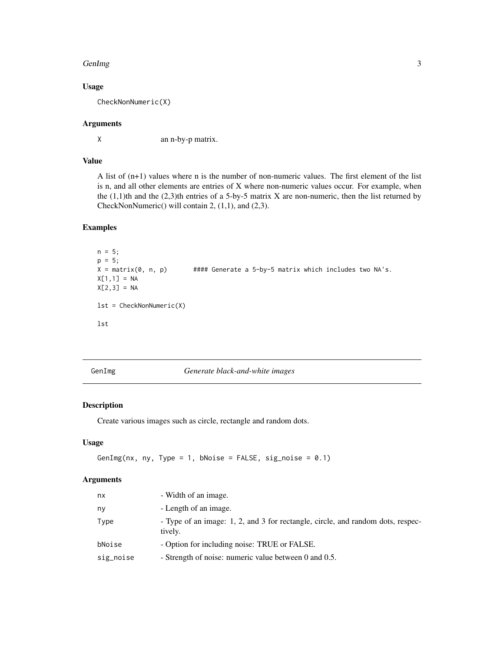#### <span id="page-2-0"></span>GenImg 3

#### Usage

CheckNonNumeric(X)

#### Arguments

X an n-by-p matrix.

#### Value

A list of (n+1) values where n is the number of non-numeric values. The first element of the list is n, and all other elements are entries of X where non-numeric values occur. For example, when the  $(1,1)$ th and the  $(2,3)$ th entries of a 5-by-5 matrix X are non-numeric, then the list returned by CheckNonNumeric() will contain 2, (1,1), and (2,3).

#### Examples

```
n = 5;p = 5;
X = \text{matrix}(\emptyset, n, p) #### Generate a 5-by-5 matrix which includes two NA's.
X[1,1] = NAX[2,3] = NAlst = CheckNonNumeric(X)
lst
```
GenImg *Generate black-and-white images*

#### Description

Create various images such as circle, rectangle and random dots.

#### Usage

```
GenImg(nx, ny, Type = 1, bNoise = FALSE, sig_noise = 0.1)
```
#### Arguments

| nx        | - Width of an image.                                                                       |
|-----------|--------------------------------------------------------------------------------------------|
| ny        | - Length of an image.                                                                      |
| Type      | - Type of an image: 1, 2, and 3 for rectangle, circle, and random dots, respec-<br>tively. |
| bNoise    | - Option for including noise: TRUE or FALSE.                                               |
| sig_noise | - Strength of noise: numeric value between 0 and 0.5.                                      |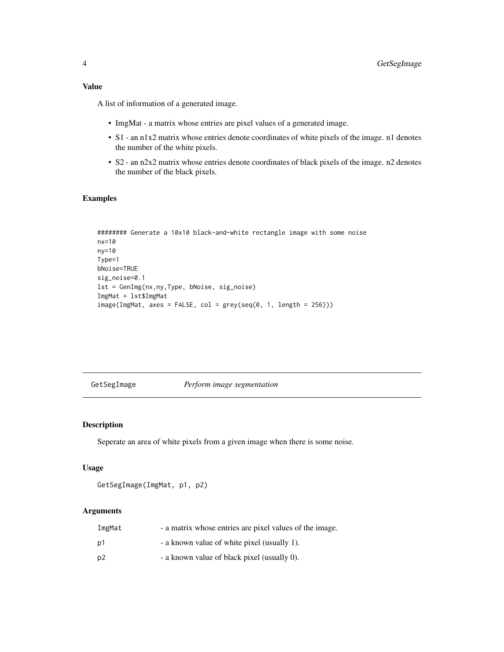<span id="page-3-0"></span>A list of information of a generated image.

- ImgMat a matrix whose entries are pixel values of a generated image.
- S1 an n1x2 matrix whose entries denote coordinates of white pixels of the image. n1 denotes the number of the white pixels.
- S2 an n2x2 matrix whose entries denote coordinates of black pixels of the image. n2 denotes the number of the black pixels.

#### Examples

```
######## Generate a 10x10 black-and-white rectangle image with some noise
nx=10
ny=10
Type=1
bNoise=TRUE
sig_noise=0.1
lst = GenImg(nx,ny,Type, bNoise, sig_noise)
ImgMat = lst$ImgMat
image(ImgMat, axes = FALSE, col = grey(seq(0, 1, length = 256)))
```
GetSegImage *Perform image segmentation*

#### Description

Seperate an area of white pixels from a given image when there is some noise.

#### Usage

```
GetSegImage(ImgMat, p1, p2)
```
#### Arguments

| ImgMat | - a matrix whose entries are pixel values of the image. |
|--------|---------------------------------------------------------|
| p1     | - a known value of white pixel (usually 1).             |
| p2     | - a known value of black pixel (usually 0).             |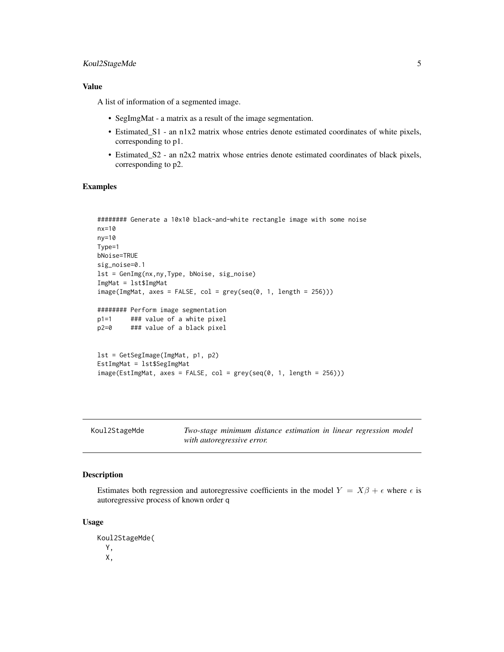#### <span id="page-4-0"></span>Koul2StageMde 5

#### Value

A list of information of a segmented image.

- SegImgMat a matrix as a result of the image segmentation.
- Estimated\_S1 an n1x2 matrix whose entries denote estimated coordinates of white pixels, corresponding to p1.
- Estimated\_S2 an n2x2 matrix whose entries denote estimated coordinates of black pixels, corresponding to p2.

#### Examples

```
######## Generate a 10x10 black-and-white rectangle image with some noise
nx=10
ny=10
Type=1
bNoise=TRUE
sig_noise=0.1
lst = GenImg(nx,ny,Type, bNoise, sig_noise)
ImgMat = lst$ImgMat
image(ImgMat, axes = FALSE, col = grey(seq(0, 1, length = 256)))######## Perform image segmentation
p1=1 ### value of a white pixel
p2=0 ### value of a black pixel
lst = GetSegImage(ImgMat, p1, p2)
EstImgMat = lst$SegImgMat
image(EstImgMat, axes = FALSE, col = grey(seq(0, 1, length = 256)))
```
Koul2StageMde *Two-stage minimum distance estimation in linear regression model with autoregressive error.*

#### Description

Estimates both regression and autoregressive coefficients in the model  $Y = X\beta + \epsilon$  where  $\epsilon$  is autoregressive process of known order q

#### Usage

```
Koul2StageMde(
  Y,
 X,
```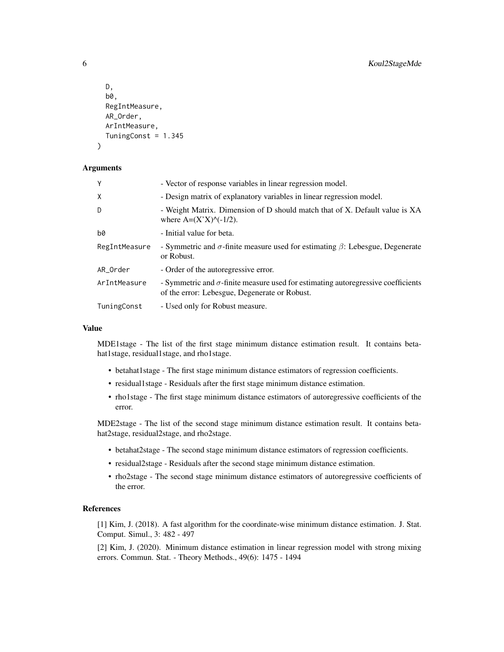```
D,
  b0,
  RegIntMeasure,
 AR_Order,
 ArIntMeasure,
  TuningConst = 1.345
)
```
#### Arguments

| Y             | - Vector of response variables in linear regression model.                                                                                |
|---------------|-------------------------------------------------------------------------------------------------------------------------------------------|
| X             | - Design matrix of explanatory variables in linear regression model.                                                                      |
| D             | - Weight Matrix. Dimension of D should match that of X. Default value is XA<br>where $A=(X'X)$ <sup><math>\wedge</math></sup> (-1/2).     |
| b0            | - Initial value for beta.                                                                                                                 |
| RegIntMeasure | - Symmetric and $\sigma$ -finite measure used for estimating $\beta$ : Lebesgue, Degenerate<br>or Robust.                                 |
| AR_Order      | - Order of the autoregressive error.                                                                                                      |
| ArIntMeasure  | - Symmetric and $\sigma$ -finite measure used for estimating autoregressive coefficients<br>of the error: Lebesgue, Degenerate or Robust. |
| TuningConst   | - Used only for Robust measure.                                                                                                           |

#### Value

MDE1stage - The list of the first stage minimum distance estimation result. It contains betahat1stage, residual1stage, and rho1stage.

- betahat1stage The first stage minimum distance estimators of regression coefficients.
- residual1stage Residuals after the first stage minimum distance estimation.
- rho1stage The first stage minimum distance estimators of autoregressive coefficients of the error.

MDE2stage - The list of the second stage minimum distance estimation result. It contains betahat2stage, residual2stage, and rho2stage.

- betahat2stage The second stage minimum distance estimators of regression coefficients.
- residual2stage Residuals after the second stage minimum distance estimation.
- rho2stage The second stage minimum distance estimators of autoregressive coefficients of the error.

#### References

[1] Kim, J. (2018). A fast algorithm for the coordinate-wise minimum distance estimation. J. Stat. Comput. Simul., 3: 482 - 497

[2] Kim, J. (2020). Minimum distance estimation in linear regression model with strong mixing errors. Commun. Stat. - Theory Methods., 49(6): 1475 - 1494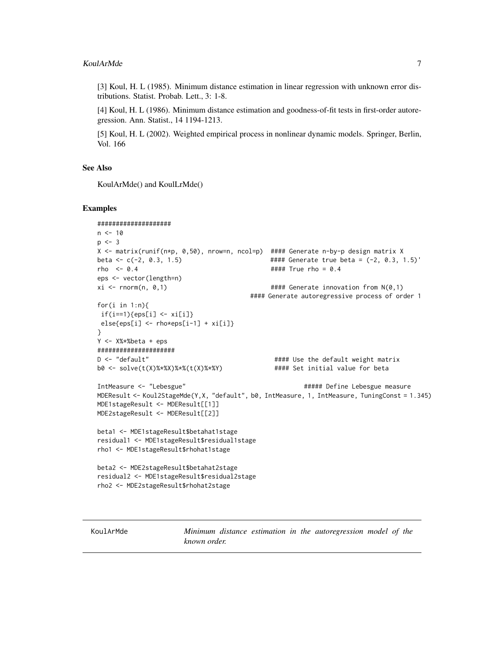<span id="page-6-0"></span>[3] Koul, H. L (1985). Minimum distance estimation in linear regression with unknown error distributions. Statist. Probab. Lett., 3: 1-8.

[4] Koul, H. L (1986). Minimum distance estimation and goodness-of-fit tests in first-order autoregression. Ann. Statist., 14 1194-1213.

[5] Koul, H. L (2002). Weighted empirical process in nonlinear dynamic models. Springer, Berlin, Vol. 166

#### See Also

KoulArMde() and KoulLrMde()

#### Examples

```
####################
n < -10p \le -3X <- matrix(runif(n*p, 0,50), nrow=n, ncol=p) #### Generate n-by-p design matrix X
beta <- c(-2, 0.3, 1.5) #### Generate true beta = (-2, 0.3, 1.5)'
rho <- 0.4 #### True rho = 0.4
eps <- vector(length=n)
x_i <- rnorm(n, 0,1) x_i + x_i + x_i + x_i + x_i + x_i + x_i + x_i + x_i + x_i + x_i + x_i + x_i + x_i + x_i + x_i + x_i + x_i + x_i + x_i + x_i + x_i + x_i + x_i + x_i + x_i + x_i + x_i + x_i#### Generate autoregressive process of order 1
for(i in 1:n){
if(i == 1){eps[i] < -xi[i]}else[eps[i] < -rho*eps[i-1] + xi[i])}
Y <- X%*%beta + eps
#####################
D <- "default" #### Use the default weight matrix
b0 <- solve(t(X)%*%X)%*%(t(X)%*%Y) #### Set initial value for beta
IntMeasure <- "Lebesgue" ##### Define Lebesgue measure
MDEResult <- Koul2StageMde(Y,X, "default", b0, IntMeasure, 1, IntMeasure, TuningConst = 1.345)
MDE1stageResult <- MDEResult[[1]]
MDE2stageResult <- MDEResult[[2]]
beta1 <- MDE1stageResult$betahat1stage
residual1 <- MDE1stageResult$residual1stage
rho1 <- MDE1stageResult$rhohat1stage
beta2 <- MDE2stageResult$betahat2stage
residual2 <- MDE1stageResult$residual2stage
rho2 <- MDE2stageResult$rhohat2stage
```
KoulArMde *Minimum distance estimation in the autoregression model of the known order.*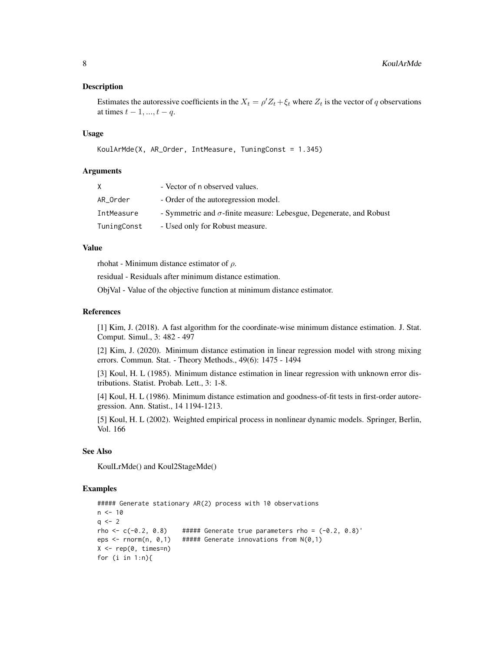#### Description

Estimates the autoressive coefficients in the  $X_t = \rho' Z_t + \xi_t$  where  $Z_t$  is the vector of q observations at times  $t - 1, ..., t - q$ .

#### Usage

```
KoulArMde(X, AR_Order, IntMeasure, TuningConst = 1.345)
```
#### Arguments

| X           | - Vector of n observed values.                                             |
|-------------|----------------------------------------------------------------------------|
| AR_Order    | - Order of the autoregression model.                                       |
| IntMeasure  | - Symmetric and $\sigma$ -finite measure: Lebesgue, Degenerate, and Robust |
| TuningConst | - Used only for Robust measure.                                            |

#### Value

rhohat - Minimum distance estimator of  $\rho$ .

residual - Residuals after minimum distance estimation.

ObjVal - Value of the objective function at minimum distance estimator.

#### References

[1] Kim, J. (2018). A fast algorithm for the coordinate-wise minimum distance estimation. J. Stat. Comput. Simul., 3: 482 - 497

[2] Kim, J. (2020). Minimum distance estimation in linear regression model with strong mixing errors. Commun. Stat. - Theory Methods., 49(6): 1475 - 1494

[3] Koul, H. L (1985). Minimum distance estimation in linear regression with unknown error distributions. Statist. Probab. Lett., 3: 1-8.

[4] Koul, H. L (1986). Minimum distance estimation and goodness-of-fit tests in first-order autoregression. Ann. Statist., 14 1194-1213.

[5] Koul, H. L (2002). Weighted empirical process in nonlinear dynamic models. Springer, Berlin, Vol. 166

#### See Also

KoulLrMde() and Koul2StageMde()

#### Examples

```
##### Generate stationary AR(2) process with 10 observations
n < -10q \le -2rho <- c(-0.2, 0.8) ##### Generate true parameters rho = (-0.2, 0.8)'eps <- rnorm(n, 0,1) ##### Generate innovations from N(0,1)
X \leftarrow \text{rep}(\emptyset, \text{times=n})for (i in 1:n){
```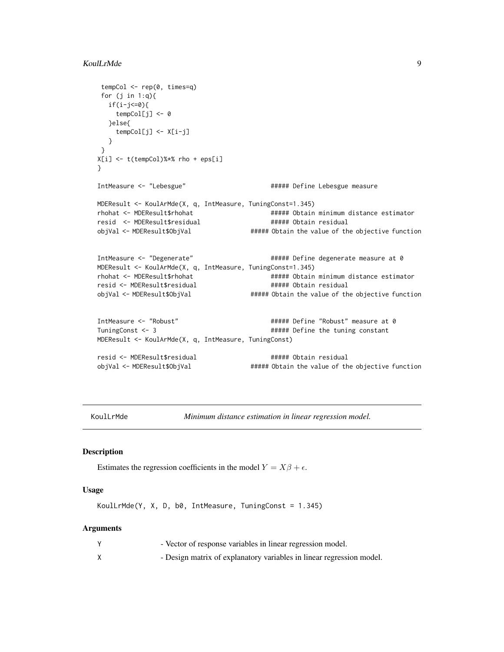```
tempCol <- rep(0, times=q)
for (j in 1:q){
  if(i-j<=0){
    tempCol[j] <- 0
  }else{
    tempCol[j] <- X[i-j]
  }
}
X[i] <- t(tempCol)%*% rho + eps[i]
}
IntMeasure <- "Lebesgue" ##### Define Lebesgue measure
MDEResult <- KoulArMde(X, q, IntMeasure, TuningConst=1.345)
rhohat <- MDEResult$rhohat ##### Obtain minimum distance estimator
resid <- MDEResult$residual ##### Obtain residual
objVal <- MDEResult$ObjVal ##### Obtain the value of the objective function
IntMeasure <- "Degenerate" ##### Define degenerate measure at 0
MDEResult <- KoulArMde(X, q, IntMeasure, TuningConst=1.345)
rhohat <- MDEResult$rhohat ###### Obtain minimum distance estimator
resid <- MDEResult$residual ###### Obtain residual
objVal <- MDEResult$ObjVal ###### Obtain the value of the objective function
IntMeasure <- "Robust" ##### Define "Robust" measure at 0
TuningConst <- 3 \qquad ##### Define the tuning constant
MDEResult <- KoulArMde(X, q, IntMeasure, TuningConst)
resid <- MDEResult$residual ##### Obtain residual
objVal <- MDEResult$ObjVal ###### Obtain the value of the objective function
```
KoulLrMde *Minimum distance estimation in linear regression model.*

#### Description

Estimates the regression coefficients in the model  $Y = X\beta + \epsilon$ .

#### Usage

KoulLrMde(Y, X, D, b0, IntMeasure, TuningConst = 1.345)

#### Arguments

| - Vector of response variables in linear regression model.           |
|----------------------------------------------------------------------|
| - Design matrix of explanatory variables in linear regression model. |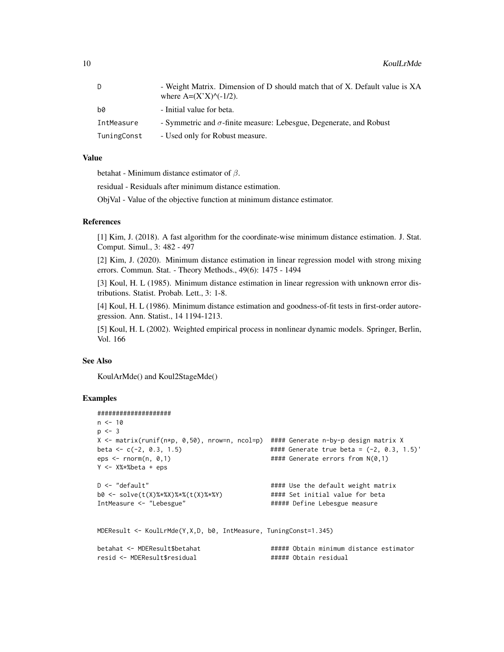| D.          | - Weight Matrix. Dimension of D should match that of X. Default value is XA<br>where $A=(X'X)^\wedge(-1/2)$ . |
|-------------|---------------------------------------------------------------------------------------------------------------|
| b0          | - Initial value for beta.                                                                                     |
| IntMeasure  | - Symmetric and $\sigma$ -finite measure: Lebesgue, Degenerate, and Robust                                    |
| TuningConst | - Used only for Robust measure.                                                                               |

#### Value

betahat - Minimum distance estimator of  $\beta$ .

residual - Residuals after minimum distance estimation.

ObjVal - Value of the objective function at minimum distance estimator.

#### References

[1] Kim, J. (2018). A fast algorithm for the coordinate-wise minimum distance estimation. J. Stat. Comput. Simul., 3: 482 - 497

[2] Kim, J. (2020). Minimum distance estimation in linear regression model with strong mixing errors. Commun. Stat. - Theory Methods., 49(6): 1475 - 1494

[3] Koul, H. L (1985). Minimum distance estimation in linear regression with unknown error distributions. Statist. Probab. Lett., 3: 1-8.

[4] Koul, H. L (1986). Minimum distance estimation and goodness-of-fit tests in first-order autoregression. Ann. Statist., 14 1194-1213.

[5] Koul, H. L (2002). Weighted empirical process in nonlinear dynamic models. Springer, Berlin, Vol. 166

#### See Also

KoulArMde() and Koul2StageMde()

#### Examples

```
####################
n < -10p \le -3X <- matrix(runif(n*p, 0,50), nrow=n, ncol=p) #### Generate n-by-p design matrix X
beta <- c(-2, 0.3, 1.5) #### Generate true beta = (-2, 0.3, 1.5)'
eps \le - rnorm(n, 0,1) \qquad \qquad \qquad \qquad \qquad \qquad \qquad \qquad \qquad \qquad \qquad \qquad \qquad \qquad \qquad \qquad \qquad \qquad \qquad \qquad \qquad \qquad \qquad \qquad \qquad \qquad \qquad \qquad \qquad \qquad \qquad \qquad \qquadY <- X%*%beta + eps
D <- "default" \qquad \qquad #### Use the default weight matrix
b0 <- solve(t(X)%*%X)%*%(t(X)%*%Y) #### Set initial value for beta
                                                    ##### Define Lebesgue measure
MDEResult <- KoulLrMde(Y,X,D, b0, IntMeasure, TuningConst=1.345)
betahat <- MDEResult$betahat # ##### Obtain minimum distance estimator
resid <- MDEResult$residual ##### Obtain residual
```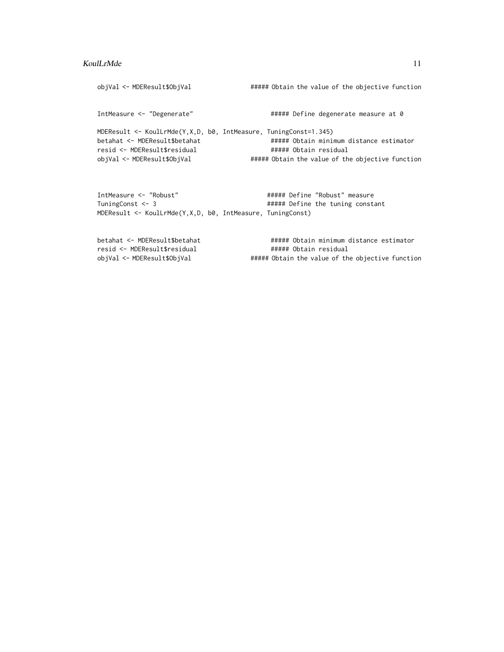#### KoulLrMde 11

objVal <- MDEResult\$ObjVal ###### Obtain the value of the objective function IntMeasure <- "Degenerate"  $\qquad$  ##### Define degenerate measure at 0 MDEResult <- KoulLrMde(Y,X,D, b0, IntMeasure, TuningConst=1.345) betahat <- MDEResult\$betahat ###### Obtain minimum distance estimator resid <- MDEResult\$residual ##### Obtain residual objVal <- MDEResult\$ObjVal ###### Obtain the value of the objective function IntMeasure <- "Robust" ##### Define "Robust" measure TuningConst <- 3  $\text{Hint}$  ##### Define the tuning constant MDEResult <- KoulLrMde(Y,X,D, b0, IntMeasure, TuningConst)

```
betahat <- MDEResult$betahat ###### Obtain minimum distance estimator
resid <- MDEResult$residual ###### Obtain residual
objVal <- MDEResult$ObjVal ##### Obtain the value of the objective function
```